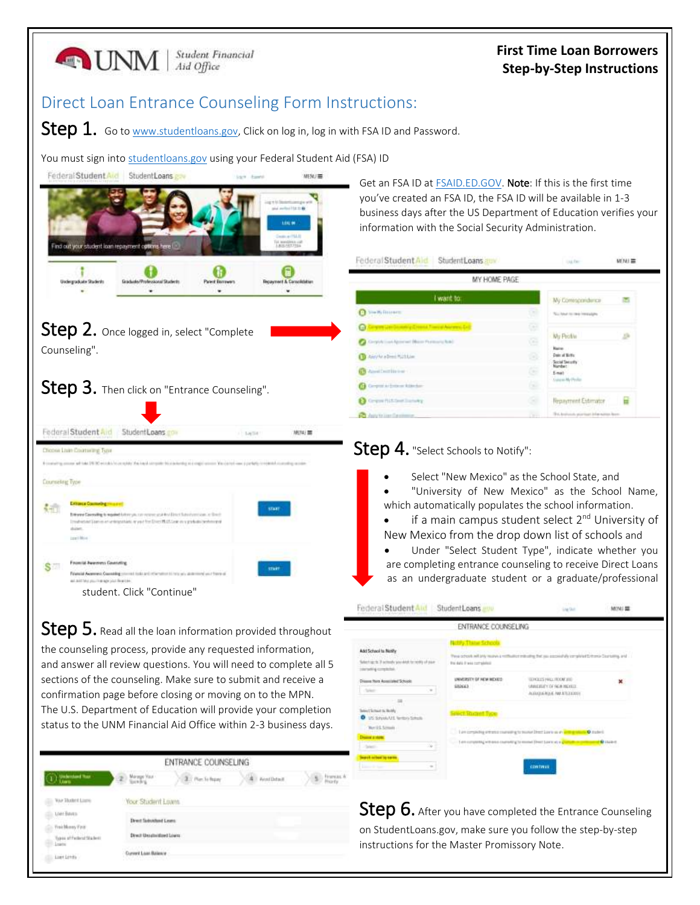

Current Loan Balance

clic Lost Links

instructions for the Master Promissory Note.